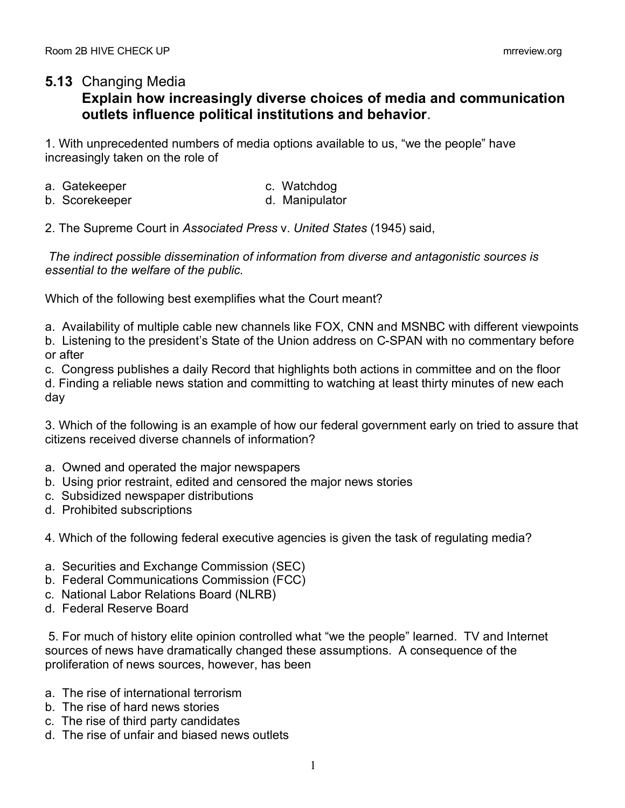## **5.13** Changing Media

## **Explain how increasingly diverse choices of media and communication outlets influence political institutions and behavior**.

1. With unprecedented numbers of media options available to us, "we the people" have increasingly taken on the role of

- a. Gatekeeper c. Watchdog
	-
- b. Scorekeeper d. Manipulator
- 2. The Supreme Court in *Associated Press* v. *United States* (1945) said,

*The indirect possible dissemination of information from diverse and antagonistic sources is essential to the welfare of the public.*

Which of the following best exemplifies what the Court meant?

a. Availability of multiple cable new channels like FOX, CNN and MSNBC with different viewpoints

b. Listening to the president's State of the Union address on C-SPAN with no commentary before or after

c. Congress publishes a daily Record that highlights both actions in committee and on the floor

d. Finding a reliable news station and committing to watching at least thirty minutes of new each day

3. Which of the following is an example of how our federal government early on tried to assure that citizens received diverse channels of information?

- a. Owned and operated the major newspapers
- b. Using prior restraint, edited and censored the major news stories
- c. Subsidized newspaper distributions
- d. Prohibited subscriptions

4. Which of the following federal executive agencies is given the task of regulating media?

- a. Securities and Exchange Commission (SEC)
- b. Federal Communications Commission (FCC)
- c. National Labor Relations Board (NLRB)
- d. Federal Reserve Board

5. For much of history elite opinion controlled what "we the people" learned. TV and Internet sources of news have dramatically changed these assumptions. A consequence of the proliferation of news sources, however, has been

- a. The rise of international terrorism
- b. The rise of hard news stories
- c. The rise of third party candidates
- d. The rise of unfair and biased news outlets